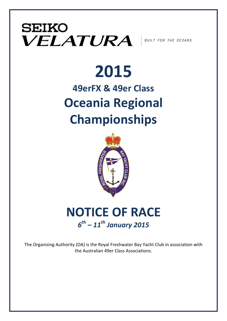### **SEIKO**  $\bm{VELATURA}$  SUILT FOR THE OCEANS

# **2015**

### **49erFX & 49er Class Oceania Regional Championships**



### **NOTICE OF RACE** *6th – 11th January 2015*

The Organising Authority (OA) is the Royal Freshwater Bay Yacht Club in association with the Australian 49er Class Associations.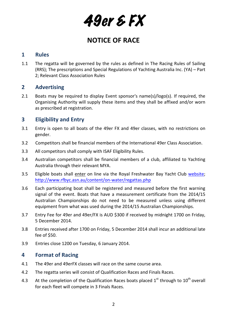### **NOTICE OF RACE**

#### **1 Rules**

1.1 The regatta will be governed by the rules as defined in The Racing Rules of Sailing (RRS); The prescriptions and Special Regulations of Yachting Australia Inc. (YA) – Part 2; Relevant Class Association Rules

#### **2 Advertising**

2.1 Boats may be required to display Event sponsor's name(s)/logo(s). If required, the Organising Authority will supply these items and they shall be affixed and/or worn as prescribed at registration.

#### **3 Eligibility** and Entry

- 3.1 Entry is open to all boats of the 49er FX and 49er classes, with no restrictions on gender.
- 3.2 Competitors shall be financial members of the International 49er Class Association.
- 3.3 All competitors shall comply with ISAF Eligibility Rules.
- 3.4 Australian competitors shall be financial members of a club, affiliated to Yachting Australia through their relevant MYA.
- 3.5 Eligible boats shall enter on line via the Royal Freshwater Bay Yacht Club website; http://www.rfbyc.asn.au/content/on-water/regattas.php
- 3.6 Each participating boat shall be registered and measured before the first warning signal of the event. Boats that have a measurement certificate from the 2014/15 Australian Championships do not need to be measured unless using different equipment from what was used during the 2014/15 Australian Championships.
- 3.7 Entry Fee for 49er and 49er/FX is AUD \$300 if received by midnight 1700 on Friday, 5 December 2014.
- 3.8 Entries received after 1700 on Friday, 5 December 2014 shall incur an additional late fee of \$50.
- 3.9 Entries close 1200 on Tuesday, 6 January 2014.

#### **4 Format of Racing**

- 4.1 The 49er and 49erFX classes will race on the same course area.
- 4.2 The regatta series will consist of Qualification Races and Finals Races.
- 4.3 At the completion of the Qualification Races boats placed  $1<sup>st</sup>$  through to  $10<sup>th</sup>$  overall for each fleet will compete in 3 Finals Races.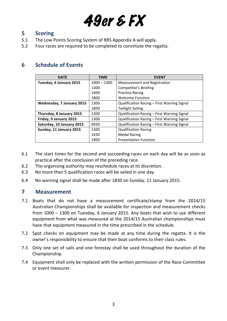#### **5 Scoring**

- 5.1 The Low Points Scoring System of RRS Appendix A will apply.
- 5.2 Four races are required to be completed to constitute the regatta.

#### **6 Schedule of Events**

| <b>DATE</b>               | <b>TIME</b>   | <b>EVENT</b>                                |
|---------------------------|---------------|---------------------------------------------|
| Tuesday, 6 January 2015   | $1000 - 1300$ | <b>Measurement and Registration</b>         |
|                           | 1300          | Competitor's Briefing                       |
|                           | 1400          | <b>Practice Racing</b>                      |
|                           | 1800          | <b>Welcome Function</b>                     |
| Wednesday, 7 January 2015 | 1300          | Qualification Racing - First Warning Signal |
|                           | 1800          | <b>Twilight Sailing</b>                     |
| Thursday, 8 January 2015  | 1300          | Qualification Racing - First Warning Signal |
| Friday, 9 January 2015    | 1300          | Qualification Racing - First Warning Signal |
| Saturday, 10 January 2015 | 0930          | Qualification Racing - First Warning Signal |
| Sunday, 11 January 2015   | 1300          | <b>Qualification Racing</b>                 |
|                           | 1630          | <b>Medal Racing</b>                         |
|                           | 1900          | <b>Presentation Function</b>                |

- 6.1 The start times for the second and succeeding races on each day will be as soon as practical after the conclusion of the preceding race.
- 6.2 The organising authority may reschedule races at its discretion.
- 6.3 No more than 5 qualification races will be sailed in one day.
- 6.4 No warning signal shall be made after 1830 on Sunday, 11 January 2015.

#### **7 Measurement**

- 7.1 Boats that do not have a measurement certificate/stamp from the 2014/15 Australian Championships shall be available for inspection and measurement checks from  $1000 - 1300$  on Tuesday, 6 January 2015. Any boats that wish to use different equipment from what was measured at the 2014/15 Australian championships must have that equipment measured in the time prescribed in the schedule.
- 7.2 Spot checks on equipment may be made at any time during the regatta. It is the owner's responsibility to ensure that their boat conforms to their class rules.
- 7.3 Only one set of sails and one forestay shall be used throughout the duration of the Championship.
- 7.4 Equipment shall only be replaced with the written permission of the Race Committee or event measurer.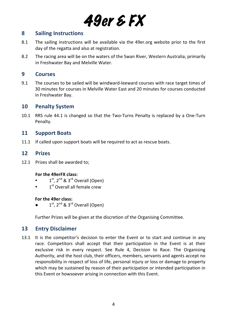#### **8 Sailing Instructions**

- 8.1 The sailing instructions will be available via the 49er.org website prior to the first day of the regatta and also at registration.
- 8.2 The racing area will be on the waters of the Swan River, Western Australia; primarily in Freshwater Bay and Melville Water.

#### **9 Courses**

9.1 The courses to be sailed will be windward-leeward courses with race target times of 30 minutes for courses in Melville Water East and 20 minutes for courses conducted in Freshwater Bay.

#### **10 Penalty System**

10.1 RRS rule 44.1 is changed so that the Two-Turns Penalty is replaced by a One-Turn Penalty.

#### **11 Support Boats**

11.1 If called upon support boats will be required to act as rescue boats.

#### **12 Prizes**

12.1 Prizes shall be awarded to;

#### For the 49erFX class:

- $1<sup>st</sup>$ ,  $2<sup>nd</sup>$  &  $3<sup>rd</sup>$  Overall (Open)
- $\bullet$   $1^{\text{st}}$  Overall all female crew

#### For the 49er class:

 $1<sup>st</sup>$ ,  $2<sup>nd</sup>$  &  $3<sup>rd</sup>$  Overall (Open)

Further Prizes will be given at the discretion of the Organising Committee.

#### **13 Entry Disclaimer**

13.1 It is the competitor's decision to enter the Event or to start and continue in any race. Competitors shall accept that their participation in the Event is at their exclusive risk in every respect. See Rule 4, Decision to Race. The Organising Authority, and the host club, their officers, members, servants and agents accept no responsibility in respect of loss of life, personal injury or loss or damage to property which may be sustained by reason of their participation or intended participation in this Event or howsoever arising in connection with this Event.